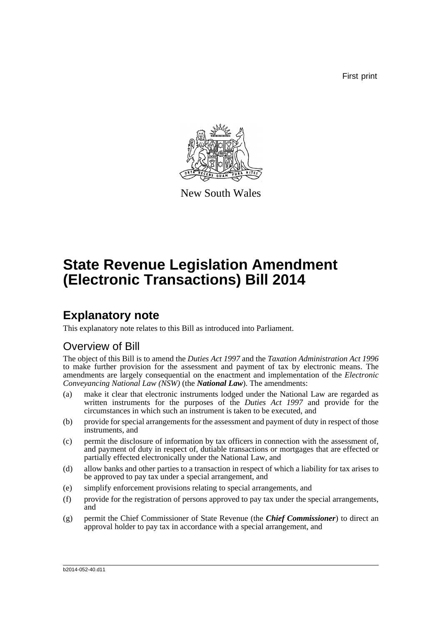First print



New South Wales

# **State Revenue Legislation Amendment (Electronic Transactions) Bill 2014**

## **Explanatory note**

This explanatory note relates to this Bill as introduced into Parliament.

### Overview of Bill

The object of this Bill is to amend the *Duties Act 1997* and the *Taxation Administration Act 1996* to make further provision for the assessment and payment of tax by electronic means. The amendments are largely consequential on the enactment and implementation of the *Electronic Conveyancing National Law (NSW)* (the *National Law*). The amendments:

- (a) make it clear that electronic instruments lodged under the National Law are regarded as written instruments for the purposes of the *Duties Act 1997* and provide for the circumstances in which such an instrument is taken to be executed, and
- (b) provide for special arrangements for the assessment and payment of duty in respect of those instruments, and
- (c) permit the disclosure of information by tax officers in connection with the assessment of, and payment of duty in respect of, dutiable transactions or mortgages that are effected or partially effected electronically under the National Law, and
- (d) allow banks and other parties to a transaction in respect of which a liability for tax arises to be approved to pay tax under a special arrangement, and
- (e) simplify enforcement provisions relating to special arrangements, and
- (f) provide for the registration of persons approved to pay tax under the special arrangements, and
- (g) permit the Chief Commissioner of State Revenue (the *Chief Commissioner*) to direct an approval holder to pay tax in accordance with a special arrangement, and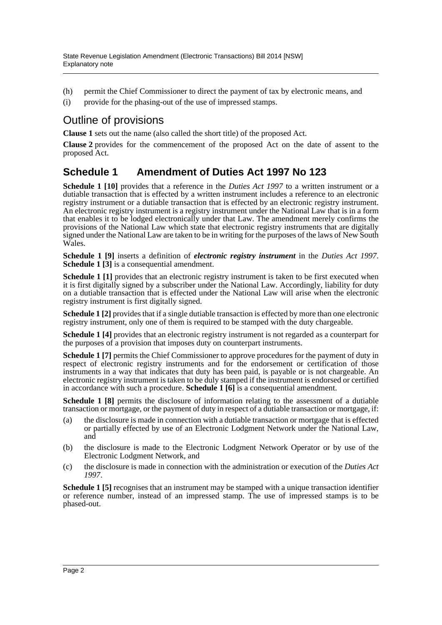- (h) permit the Chief Commissioner to direct the payment of tax by electronic means, and
- (i) provide for the phasing-out of the use of impressed stamps.

### Outline of provisions

**Clause 1** sets out the name (also called the short title) of the proposed Act.

**Clause 2** provides for the commencement of the proposed Act on the date of assent to the proposed Act.

### **Schedule 1 Amendment of Duties Act 1997 No 123**

**Schedule 1 [10]** provides that a reference in the *Duties Act 1997* to a written instrument or a dutiable transaction that is effected by a written instrument includes a reference to an electronic registry instrument or a dutiable transaction that is effected by an electronic registry instrument. An electronic registry instrument is a registry instrument under the National Law that is in a form that enables it to be lodged electronically under that Law. The amendment merely confirms the provisions of the National Law which state that electronic registry instruments that are digitally signed under the National Law are taken to be in writing for the purposes of the laws of New South Wales.

**Schedule 1 [9]** inserts a definition of *electronic registry instrument* in the *Duties Act 1997*. **Schedule 1** [3] is a consequential amendment.

**Schedule 1 [1]** provides that an electronic registry instrument is taken to be first executed when it is first digitally signed by a subscriber under the National Law. Accordingly, liability for duty on a dutiable transaction that is effected under the National Law will arise when the electronic registry instrument is first digitally signed.

**Schedule 1** [2] provides that if a single dutiable transaction is effected by more than one electronic registry instrument, only one of them is required to be stamped with the duty chargeable.

**Schedule 1** [4] provides that an electronic registry instrument is not regarded as a counterpart for the purposes of a provision that imposes duty on counterpart instruments.

**Schedule 1 [7]** permits the Chief Commissioner to approve procedures for the payment of duty in respect of electronic registry instruments and for the endorsement or certification of those instruments in a way that indicates that duty has been paid, is payable or is not chargeable. An electronic registry instrument is taken to be duly stamped if the instrument is endorsed or certified in accordance with such a procedure. **Schedule 1 [6]** is a consequential amendment.

**Schedule 1 [8]** permits the disclosure of information relating to the assessment of a dutiable transaction or mortgage, or the payment of duty in respect of a dutiable transaction or mortgage, if:

- (a) the disclosure is made in connection with a dutiable transaction or mortgage that is effected or partially effected by use of an Electronic Lodgment Network under the National Law, and
- (b) the disclosure is made to the Electronic Lodgment Network Operator or by use of the Electronic Lodgment Network, and
- (c) the disclosure is made in connection with the administration or execution of the *Duties Act 1997*.

**Schedule 1 [5]** recognises that an instrument may be stamped with a unique transaction identifier or reference number, instead of an impressed stamp. The use of impressed stamps is to be phased-out.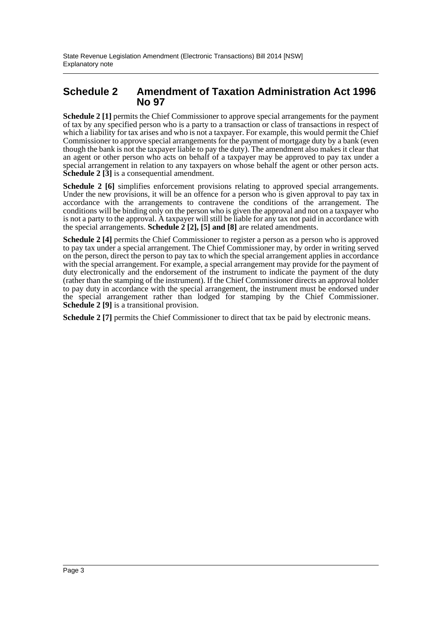#### **Schedule 2 Amendment of Taxation Administration Act 1996 No 97**

**Schedule 2** [1] permits the Chief Commissioner to approve special arrangements for the payment of tax by any specified person who is a party to a transaction or class of transactions in respect of which a liability for tax arises and who is not a taxpayer. For example, this would permit the Chief Commissioner to approve special arrangements for the payment of mortgage duty by a bank (even though the bank is not the taxpayer liable to pay the duty). The amendment also makes it clear that an agent or other person who acts on behalf of a taxpayer may be approved to pay tax under a special arrangement in relation to any taxpayers on whose behalf the agent or other person acts. **Schedule 2** [3] is a consequential amendment.

**Schedule 2 [6]** simplifies enforcement provisions relating to approved special arrangements. Under the new provisions, it will be an offence for a person who is given approval to pay tax in accordance with the arrangements to contravene the conditions of the arrangement. The conditions will be binding only on the person who is given the approval and not on a taxpayer who is not a party to the approval. A taxpayer will still be liable for any tax not paid in accordance with the special arrangements. **Schedule 2 [2], [5] and [8]** are related amendments.

**Schedule 2 [4]** permits the Chief Commissioner to register a person as a person who is approved to pay tax under a special arrangement. The Chief Commissioner may, by order in writing served on the person, direct the person to pay tax to which the special arrangement applies in accordance with the special arrangement. For example, a special arrangement may provide for the payment of duty electronically and the endorsement of the instrument to indicate the payment of the duty (rather than the stamping of the instrument). If the Chief Commissioner directs an approval holder to pay duty in accordance with the special arrangement, the instrument must be endorsed under the special arrangement rather than lodged for stamping by the Chief Commissioner. **Schedule 2 [9]** is a transitional provision.

**Schedule 2** [7] permits the Chief Commissioner to direct that tax be paid by electronic means.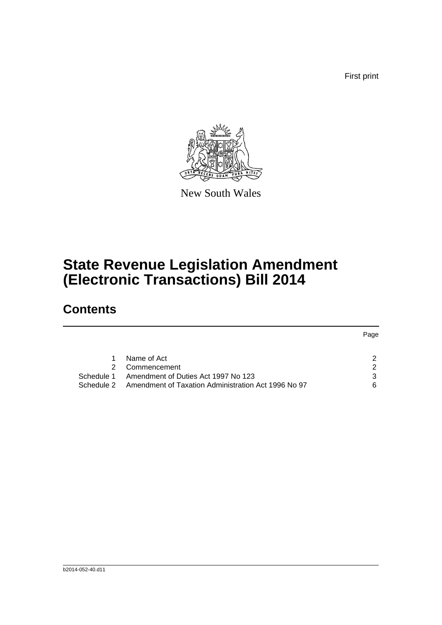First print



New South Wales

# **State Revenue Legislation Amendment (Electronic Transactions) Bill 2014**

## **Contents**

|            |                                                     | Page          |
|------------|-----------------------------------------------------|---------------|
|            | Name of Act                                         | 2             |
|            | Commencement                                        | $\mathcal{P}$ |
|            | Schedule 1 Amendment of Duties Act 1997 No 123      | 3             |
| Schedule 2 | Amendment of Taxation Administration Act 1996 No 97 | 6             |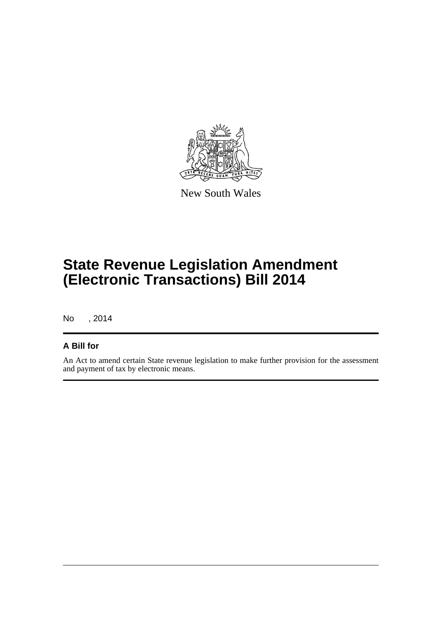

New South Wales

# **State Revenue Legislation Amendment (Electronic Transactions) Bill 2014**

No , 2014

#### **A Bill for**

An Act to amend certain State revenue legislation to make further provision for the assessment and payment of tax by electronic means.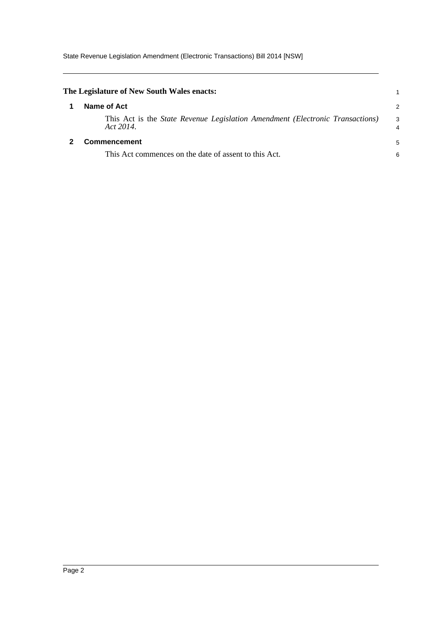<span id="page-5-1"></span><span id="page-5-0"></span>

| The Legislature of New South Wales enacts:                                                        |        |
|---------------------------------------------------------------------------------------------------|--------|
| Name of Act                                                                                       | 2      |
| This Act is the <i>State Revenue Legislation Amendment (Electronic Transactions)</i><br>Act 2014. | 3<br>4 |
| Commencement                                                                                      | 5      |
| This Act commences on the date of assent to this Act.                                             | 6      |
|                                                                                                   |        |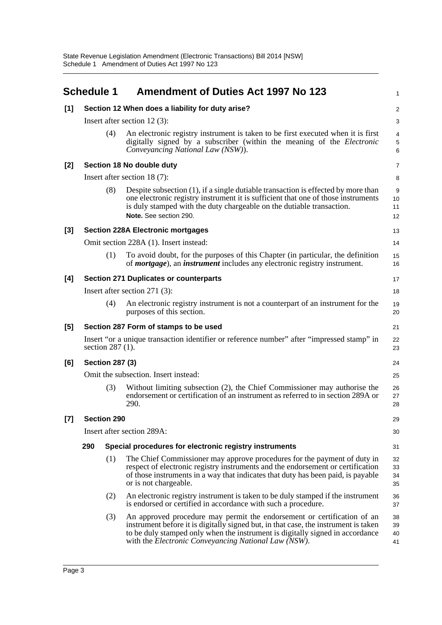<span id="page-6-0"></span>

|       | <b>Schedule 1</b>                                |                                               | <b>Amendment of Duties Act 1997 No 123</b>                                                                                                                                                                                                                                                              | 1                                      |  |  |  |
|-------|--------------------------------------------------|-----------------------------------------------|---------------------------------------------------------------------------------------------------------------------------------------------------------------------------------------------------------------------------------------------------------------------------------------------------------|----------------------------------------|--|--|--|
| [1]   | Section 12 When does a liability for duty arise? |                                               |                                                                                                                                                                                                                                                                                                         |                                        |  |  |  |
|       |                                                  |                                               | Insert after section 12 $(3)$ :                                                                                                                                                                                                                                                                         | 3                                      |  |  |  |
|       |                                                  | (4)                                           | An electronic registry instrument is taken to be first executed when it is first<br>digitally signed by a subscriber (within the meaning of the Electronic<br>Conveyancing National Law (NSW)).                                                                                                         | $\overline{4}$<br>$\,$ 5 $\,$<br>$\,6$ |  |  |  |
| [2]   |                                                  | Section 18 No double duty                     |                                                                                                                                                                                                                                                                                                         |                                        |  |  |  |
|       | Insert after section $18(7)$ :                   |                                               |                                                                                                                                                                                                                                                                                                         |                                        |  |  |  |
|       |                                                  | (8)                                           | Despite subsection (1), if a single dutiable transaction is effected by more than<br>one electronic registry instrument it is sufficient that one of those instruments<br>is duly stamped with the duty chargeable on the dutiable transaction.<br>Note. See section 290.                               | $\boldsymbol{9}$<br>10<br>11<br>12     |  |  |  |
| [3]   |                                                  |                                               | <b>Section 228A Electronic mortgages</b>                                                                                                                                                                                                                                                                | 13                                     |  |  |  |
|       |                                                  |                                               | Omit section 228A (1). Insert instead:                                                                                                                                                                                                                                                                  | 14                                     |  |  |  |
|       |                                                  | (1)                                           | To avoid doubt, for the purposes of this Chapter (in particular, the definition<br>of <i>mortgage</i> ), an <i>instrument</i> includes any electronic registry instrument.                                                                                                                              | 15<br>16                               |  |  |  |
| [4]   |                                                  | <b>Section 271 Duplicates or counterparts</b> |                                                                                                                                                                                                                                                                                                         |                                        |  |  |  |
|       | Insert after section $271(3)$ :                  |                                               |                                                                                                                                                                                                                                                                                                         |                                        |  |  |  |
|       |                                                  | (4)                                           | An electronic registry instrument is not a counterpart of an instrument for the<br>purposes of this section.                                                                                                                                                                                            | 19<br>20                               |  |  |  |
| [5]   | Section 287 Form of stamps to be used            |                                               |                                                                                                                                                                                                                                                                                                         |                                        |  |  |  |
|       |                                                  | section 287 (1).                              | Insert "or a unique transaction identifier or reference number" after "impressed stamp" in                                                                                                                                                                                                              | 22<br>23                               |  |  |  |
| [6]   | <b>Section 287 (3)</b>                           |                                               |                                                                                                                                                                                                                                                                                                         |                                        |  |  |  |
|       |                                                  |                                               | Omit the subsection. Insert instead:                                                                                                                                                                                                                                                                    | 25                                     |  |  |  |
|       |                                                  | (3)                                           | Without limiting subsection (2), the Chief Commissioner may authorise the<br>endorsement or certification of an instrument as referred to in section 289A or<br>290.                                                                                                                                    | 26<br>27<br>28                         |  |  |  |
| $[7]$ |                                                  | <b>Section 290</b>                            |                                                                                                                                                                                                                                                                                                         | 29                                     |  |  |  |
|       | Insert after section 289A:                       |                                               |                                                                                                                                                                                                                                                                                                         |                                        |  |  |  |
|       | 290                                              |                                               | Special procedures for electronic registry instruments                                                                                                                                                                                                                                                  | 31                                     |  |  |  |
|       |                                                  | (1)                                           | The Chief Commissioner may approve procedures for the payment of duty in<br>respect of electronic registry instruments and the endorsement or certification<br>of those instruments in a way that indicates that duty has been paid, is payable<br>or is not chargeable.                                | 32<br>33<br>34<br>35                   |  |  |  |
|       |                                                  | (2)                                           | An electronic registry instrument is taken to be duly stamped if the instrument<br>is endorsed or certified in accordance with such a procedure.                                                                                                                                                        | 36<br>37                               |  |  |  |
|       |                                                  | (3)                                           | An approved procedure may permit the endorsement or certification of an<br>instrument before it is digitally signed but, in that case, the instrument is taken<br>to be duly stamped only when the instrument is digitally signed in accordance<br>with the Electronic Conveyancing National Law (NSW). | 38<br>39<br>40<br>41                   |  |  |  |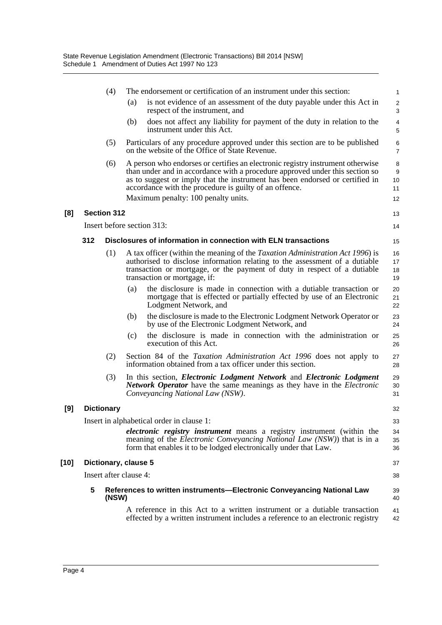|        |     | (4)                |                                           | The endorsement or certification of an instrument under this section:                                                                                                                                                                                                                                    | $\mathbf{1}$         |
|--------|-----|--------------------|-------------------------------------------|----------------------------------------------------------------------------------------------------------------------------------------------------------------------------------------------------------------------------------------------------------------------------------------------------------|----------------------|
|        |     |                    | (a)                                       | is not evidence of an assessment of the duty payable under this Act in<br>respect of the instrument, and                                                                                                                                                                                                 | $\overline{2}$<br>3  |
|        |     |                    | (b)                                       | does not affect any liability for payment of the duty in relation to the<br>instrument under this Act.                                                                                                                                                                                                   | $\overline{4}$<br>5  |
|        |     | (5)                |                                           | Particulars of any procedure approved under this section are to be published<br>on the website of the Office of State Revenue.                                                                                                                                                                           | 6<br>$\overline{7}$  |
|        |     | (6)                |                                           | A person who endorses or certifies an electronic registry instrument otherwise<br>than under and in accordance with a procedure approved under this section so<br>as to suggest or imply that the instrument has been endorsed or certified in<br>accordance with the procedure is guilty of an offence. | 8<br>9<br>10<br>11   |
|        |     |                    |                                           | Maximum penalty: 100 penalty units.                                                                                                                                                                                                                                                                      | 12                   |
| [8]    |     | <b>Section 312</b> |                                           |                                                                                                                                                                                                                                                                                                          | 13                   |
|        |     |                    | Insert before section 313:                |                                                                                                                                                                                                                                                                                                          | 14                   |
|        | 312 |                    |                                           | Disclosures of information in connection with ELN transactions                                                                                                                                                                                                                                           | 15                   |
|        |     | (1)                | transaction or mortgage, if:              | A tax officer (within the meaning of the <i>Taxation Administration Act 1996</i> ) is<br>authorised to disclose information relating to the assessment of a dutiable<br>transaction or mortgage, or the payment of duty in respect of a dutiable                                                         | 16<br>17<br>18<br>19 |
|        |     |                    | (a)                                       | the disclosure is made in connection with a dutiable transaction or<br>mortgage that is effected or partially effected by use of an Electronic<br>Lodgment Network, and                                                                                                                                  | 20<br>21<br>22       |
|        |     |                    | (b)                                       | the disclosure is made to the Electronic Lodgment Network Operator or<br>by use of the Electronic Lodgment Network, and                                                                                                                                                                                  | 23<br>24             |
|        |     |                    | (c)<br>execution of this Act.             | the disclosure is made in connection with the administration or                                                                                                                                                                                                                                          | 25<br>26             |
|        |     | (2)                |                                           | Section 84 of the Taxation Administration Act 1996 does not apply to<br>information obtained from a tax officer under this section.                                                                                                                                                                      | 27<br>28             |
|        |     | (3)                |                                           | In this section, <i>Electronic Lodgment Network</i> and <i>Electronic Lodgment</i><br><b>Network Operator</b> have the same meanings as they have in the <i>Electronic</i><br>Conveyancing National Law (NSW).                                                                                           | 29<br>30<br>31       |
| [9]    |     | <b>Dictionary</b>  |                                           |                                                                                                                                                                                                                                                                                                          | 32                   |
|        |     |                    | Insert in alphabetical order in clause 1: |                                                                                                                                                                                                                                                                                                          | 33                   |
|        |     |                    |                                           | <i>electronic registry instrument</i> means a registry instrument (within the<br>meaning of the <i>Electronic Conveyancing National Law</i> ( <i>NSW</i> )) that is in a<br>form that enables it to be lodged electronically under that Law.                                                             | 34<br>35<br>36       |
| $[10]$ |     |                    | Dictionary, clause 5                      |                                                                                                                                                                                                                                                                                                          | 37                   |
|        |     |                    | Insert after clause 4:                    |                                                                                                                                                                                                                                                                                                          | 38                   |
|        | 5   | (NSW)              |                                           | References to written instruments-Electronic Conveyancing National Law                                                                                                                                                                                                                                   | 39<br>40             |
|        |     |                    |                                           | A reference in this Act to a written instrument or a dutiable transaction<br>effected by a written instrument includes a reference to an electronic registry                                                                                                                                             | 41<br>42             |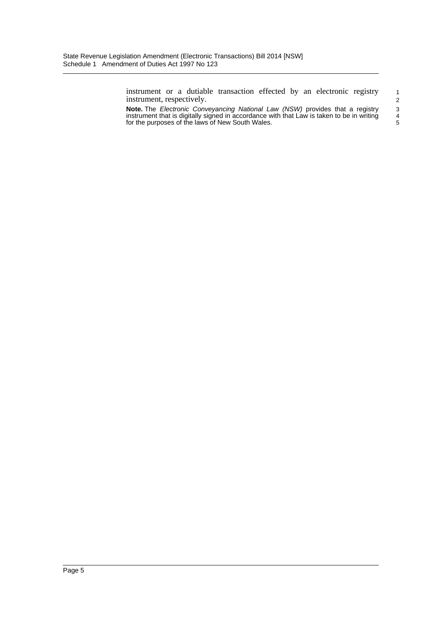instrument or a dutiable transaction effected by an electronic registry instrument, respectively.

**Note.** The *Electronic Conveyancing National Law (NSW)* provides that a registry instrument that is digitally signed in accordance with that Law is taken to be in writing for the purposes of the laws of New South Wales.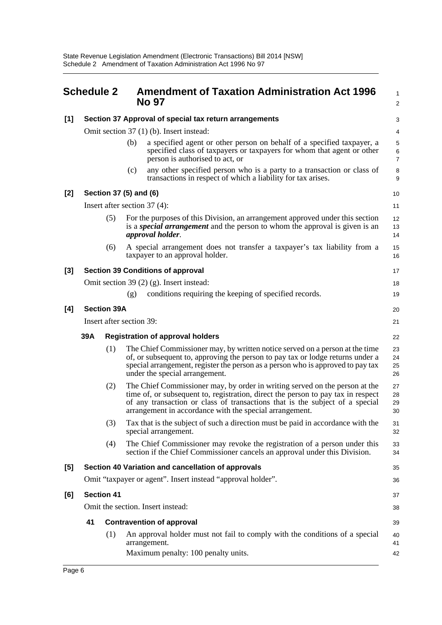<span id="page-9-0"></span>

|       | <b>Schedule 2</b>                                           |                          |     | <b>Amendment of Taxation Administration Act 1996</b><br><b>No 97</b>                                                                                                                                                                                                                                       | 1<br>$\overline{\mathbf{c}}$ |  |  |
|-------|-------------------------------------------------------------|--------------------------|-----|------------------------------------------------------------------------------------------------------------------------------------------------------------------------------------------------------------------------------------------------------------------------------------------------------------|------------------------------|--|--|
| [1]   |                                                             |                          |     | Section 37 Approval of special tax return arrangements                                                                                                                                                                                                                                                     | 3                            |  |  |
|       |                                                             |                          |     | Omit section 37 (1) (b). Insert instead:                                                                                                                                                                                                                                                                   | 4                            |  |  |
|       |                                                             |                          | (b) | a specified agent or other person on behalf of a specified taxpayer, a<br>specified class of taxpayers or taxpayers for whom that agent or other<br>person is authorised to act, or                                                                                                                        | 5<br>6<br>$\overline{7}$     |  |  |
|       |                                                             |                          | (c) | any other specified person who is a party to a transaction or class of<br>transactions in respect of which a liability for tax arises.                                                                                                                                                                     | 8<br>9                       |  |  |
| [2]   |                                                             | Section 37 (5) and (6)   |     |                                                                                                                                                                                                                                                                                                            |                              |  |  |
|       |                                                             |                          |     | Insert after section $37(4)$ :                                                                                                                                                                                                                                                                             | 11                           |  |  |
|       |                                                             | (5)                      |     | For the purposes of this Division, an arrangement approved under this section<br>is a <i>special arrangement</i> and the person to whom the approval is given is an<br><i>approval holder.</i>                                                                                                             | 12<br>13<br>14               |  |  |
|       |                                                             | (6)                      |     | A special arrangement does not transfer a taxpayer's tax liability from a<br>taxpayer to an approval holder.                                                                                                                                                                                               | 15<br>16                     |  |  |
| $[3]$ |                                                             |                          |     | <b>Section 39 Conditions of approval</b>                                                                                                                                                                                                                                                                   | 17                           |  |  |
|       |                                                             |                          |     | Omit section 39 $(2)$ $(g)$ . Insert instead:                                                                                                                                                                                                                                                              | 18                           |  |  |
|       |                                                             |                          | (g) | conditions requiring the keeping of specified records.                                                                                                                                                                                                                                                     | 19                           |  |  |
| [4]   |                                                             | <b>Section 39A</b><br>20 |     |                                                                                                                                                                                                                                                                                                            |                              |  |  |
|       | Insert after section 39:                                    |                          |     |                                                                                                                                                                                                                                                                                                            |                              |  |  |
|       | 39A                                                         |                          |     | <b>Registration of approval holders</b>                                                                                                                                                                                                                                                                    | 22                           |  |  |
|       |                                                             | (1)                      |     | The Chief Commissioner may, by written notice served on a person at the time<br>of, or subsequent to, approving the person to pay tax or lodge returns under a<br>special arrangement, register the person as a person who is approved to pay tax<br>under the special arrangement.                        | 23<br>24<br>25<br>26         |  |  |
|       |                                                             | (2)                      |     | The Chief Commissioner may, by order in writing served on the person at the<br>time of, or subsequent to, registration, direct the person to pay tax in respect<br>of any transaction or class of transactions that is the subject of a special<br>arrangement in accordance with the special arrangement. | 27<br>28<br>29<br>30         |  |  |
|       |                                                             | (3)                      |     | Tax that is the subject of such a direction must be paid in accordance with the<br>special arrangement.                                                                                                                                                                                                    | 31<br>32                     |  |  |
|       |                                                             | (4)                      |     | The Chief Commissioner may revoke the registration of a person under this<br>section if the Chief Commissioner cancels an approval under this Division.                                                                                                                                                    | 33<br>34                     |  |  |
| [5]   | Section 40 Variation and cancellation of approvals          |                          |     |                                                                                                                                                                                                                                                                                                            |                              |  |  |
|       | Omit "taxpayer or agent". Insert instead "approval holder". |                          |     |                                                                                                                                                                                                                                                                                                            |                              |  |  |
| [6]   | <b>Section 41</b>                                           |                          |     |                                                                                                                                                                                                                                                                                                            |                              |  |  |
|       | Omit the section. Insert instead:                           |                          |     |                                                                                                                                                                                                                                                                                                            |                              |  |  |
|       | 41                                                          |                          |     | <b>Contravention of approval</b>                                                                                                                                                                                                                                                                           | 39                           |  |  |
|       |                                                             | (1)                      |     | An approval holder must not fail to comply with the conditions of a special<br>arrangement.<br>Maximum penalty: 100 penalty units.                                                                                                                                                                         | 40<br>41<br>42               |  |  |